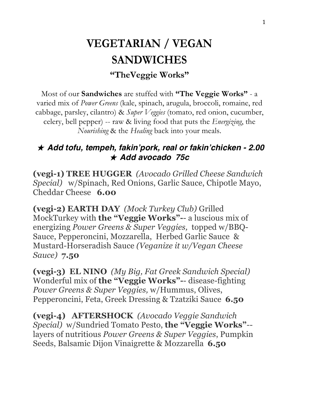## **VEGETARIAN / VEGAN SANDWICHES "TheVeggie Works"**

Most of our **Sandwiches** are stuffed with **"The Veggie Works"** - a varied mix of *Power Greens* (kale, spinach, arugula, broccoli, romaine, red cabbage, parsley, cilantro) & *Super Veggies* (tomato, red onion, cucumber, celery, bell pepper) -- raw & living food that puts the *Energizing*, the *Nourishing* & the *Healing* back into your meals.

## ★ *Add tofu, tempeh, fakin'pork, real or fakin'chicken - 2.00* ★ *Add avocado 75c*

**(vegi-1) TREE HUGGER** *(Avocado Grilled Cheese Sandwich Special)* w/Spinach, Red Onions, Garlic Sauce, Chipotle Mayo, Cheddar Cheese **6.00**

**(vegi-2) EARTH DAY** *(Mock Turkey Club)* Grilled MockTurkey with **the "Veggie Works"-**- a luscious mix of energizing *Power Greens & Super Veggies,* topped w/BBQ-Sauce, Pepperoncini, Mozzarella, Herbed Garlic Sauce & Mustard-Horseradish Sauce *(Veganize it w/Vegan Cheese Sauce)* **7.50**

**(vegi-3) EL NINO** *(My Big, Fat Greek Sandwich Special)* Wonderful mix of **the "Veggie Works"-**- disease-fighting *Power Greens & Super Veggies,* w/Hummus, Olives, Pepperoncini, Feta, Greek Dressing & Tzatziki Sauce **6.50**

**(vegi-4) AFTERSHOCK** *(Avocado Veggie Sandwich Special)* w/Sundried Tomato Pesto, **the "Veggie Works"***-* layers of nutritious *Power Greens & Super Veggies*, Pumpkin Seeds, Balsamic Dijon Vinaigrette & Mozzarella **6.50**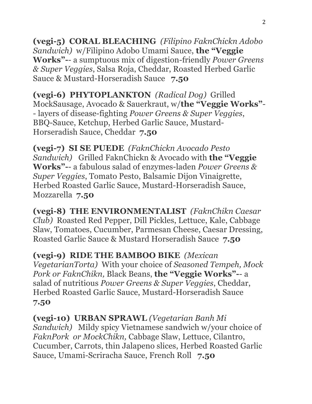**(vegi-5) CORAL BLEACHING** *(Filipino FaknChickn Adobo Sandwich)* w/Filipino Adobo Umami Sauce, **the "Veggie Works"-**- a sumptuous mix of digestion-friendly *Power Greens & Super Veggies*, Salsa Roja, Cheddar, Roasted Herbed Garlic Sauce & Mustard-Horseradish Sauce **7.50**

**(vegi-6) PHYTOPLANKTON** *(Radical Dog)* Grilled MockSausage, Avocado & Sauerkraut, w/**the "Veggie Works"**- - layers of disease-fighting *Power Greens & Super Veggies*, BBQ-Sauce, Ketchup, Herbed Garlic Sauce, Mustard-Horseradish Sauce, Cheddar **7.50**

**(vegi-7) SI SE PUEDE** *(FaknChickn Avocado Pesto Sandwich)* Grilled FaknChickn & Avocado with **the "Veggie Works"-**- a fabulous salad of enzymes-laden *Power Greens & Super Veggies*, Tomato Pesto, Balsamic Dijon Vinaigrette, Herbed Roasted Garlic Sauce, Mustard-Horseradish Sauce, Mozzarella **7.50**

**(vegi-8) THE ENVIRONMENTALIST** *(FaknChikn Caesar Club)* Roasted Red Pepper, Dill Pickles, Lettuce, Kale, Cabbage Slaw, Tomatoes, Cucumber, Parmesan Cheese, Caesar Dressing, Roasted Garlic Sauce & Mustard Horseradish Sauce **7.50**

**(vegi-9) RIDE THE BAMBOO BIKE** *(Mexican VegetarianTorta)* With your choice of *Seasoned Tempeh, Mock Pork or FaknChikn,* Black Beans, **the "Veggie Works"-**- a salad of nutritious *Power Greens & Super Veggies*, Cheddar, Herbed Roasted Garlic Sauce, Mustard-Horseradish Sauce **7.50**

**(vegi-10) URBAN SPRAWL** *(Vegetarian Banh Mi Sandwich)* Mildy spicy Vietnamese sandwich w/your choice of *FaknPork or MockChikn,* Cabbage Slaw, Lettuce, Cilantro, Cucumber, Carrots, thin Jalapeno slices, Herbed Roasted Garlic Sauce, Umami-Scriracha Sauce, French Roll **7.50**